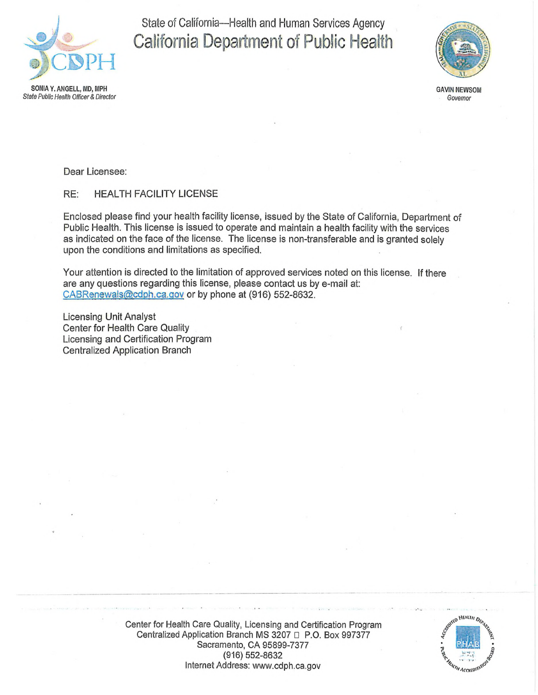

State of California—Health and Human Services Agency California Department of Public Health



**GAVIN NEWSOM** *Governor*

**Sfafe** *Public Health Officer & Director*

Dear Licensee:

RE: HEALTH FACILITY LICENSE

Enclosed please find your health facility license, issued by the State of California, Department of Public Health. This license is issued io operate and maintain a health facility with the services as indicated on the face of the license. The license is non-transferable and is granted solely upon the conditions and limitations as specified.

Your attention is directed to the limitation of approved services noted on this license. If there are any questions regarding this license, please contact us by e-mail at: [CA8Renewals@cdph.ca.qov](mailto:CA8Renewals@cdph.ca.qov) or by phone at (916) 552-8632.

Licensing Unit Analyst Center for Health Care Quality Licensing and Certification Program Centralized Application Branch



Center for Health Care Quality, Licensing and Certification Program Centralized Application Branch MS 3207 □ P.O. Box 997377 Sacramento, CA 95899-7377 (916) 552-8632 Internet Address: [www.cdph.](http://www.cdph.ca.gov)ca.gov